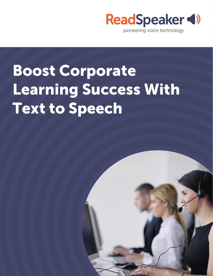

# Boost Corporate Learning Success With Text to Speech

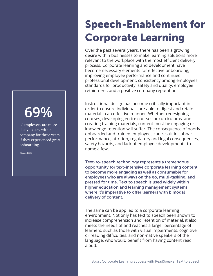## **69%**

of employees are more likely to stay with a company for three years if they experienced great onboarding.

(Ganzel, 1998)

## Speech-Enablement for Corporate Learning

Over the past several years, there has been a growing desire within businesses to make learning solutions more relevant to the workplace with the most efficient delivery process. Corporate learning and development have become necessary elements for effective onboarding, improving employee performance and continued professional development, consistency among employees, standards for productivity, safety and quality, employee retainment, and a positive company reputation.

Instructional design has become critically important in order to ensure individuals are able to digest and retain material in an effective manner. Whether redesigning courses, developing entire courses or curriculums, and creating training materials, content must be engaging or knowledge retention will suffer. The consequence of poorly onboarded and trained employees can result in subpar performance, attrition, regulatory and legal consequences, safety hazards, and lack of employee development - to name a few.

Text-to-speech technology represents a tremendous opportunity for text-intensive corporate learning content to become more engaging as well as consumable for employees who are always on the go, multi-tasking, and pressed for time. Text to speech is used widely within higher education and learning management systems where it's imperative to offer learners with bimodal delivery of content.

The same can be applied to a corporate learning environment. Not only has text to speech been shown to increase comprehension and retention of material, it also meets the needs of and reaches a larger percentage of learners, such as those with visual impairments, cognitive or reading difficulties, and non-native speakers of the language, who would benefit from having content read aloud.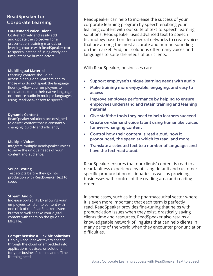### ReadSpeaker for

#### **On-Demand Voice Talent**

Cost-effectively and easily add and update the voiceover for a presentation, training manual, or learning course with ReadSpeaker text to speech instead of using costly and time-intensive human actors.

#### **Multilingual Material**

Learning content should be accessible to global learners and to those who do not speak the language fluently. Allow your employees to translate text into their native language or produce audio in multiple languages using ReadSpeaker text to speech.

#### **Dynamic Content**

ReadSpeaker solutions are designed to deliver content that is constantly changing, quickly and efficiently.

#### **Multiple Voices**

Integrate multiple ReadSpeaker voices to serve the unique needs of your content and audience.

#### **Script Testing**

Test scripts before they go into production with ReadSpeaker text to speech.

#### **Stream Audio**

Increase portability by allowing your employees to listen to content with one click of the ReadSpeaker Listen button as well as take your digital content with them on the go via an MP3 file.

#### **Comprehensive & Flexible Solutions**

Deploy ReadSpeaker text to speech through the cloud or embedded into applications, devices, or solutions for your business's online and offline listening needs.

**Corporate Learning**<br>Corporate Learning **ReadSpeaker can help to increase the success of your** corporate learning program by speech-enabling your learning content with our suite of text-to-speech learning solutions. ReadSpeaker uses advanced text-to-speech technology based on deep neural networks to create voices that are among the most accurate and human-sounding on the market. And, our solutions offer many voices and languages to suite the needs of our clients.

With ReadSpeaker, businesses can:

- Support employee's unique learning needs with audio
- Make training more enjoyable, engaging, and easy to access
- Improve employee performance by helping to ensure employees understand and retain training and learning material
- Give staff the tools they need to help learners succeed
- Create on-demand voice talent using humanlike voices for ever-changing content
- Control how their content is read aloud, how it pronounced, the speed at which its read, and more
- Translate a selected text to a number of languages and have the text read aloud.

ReadSpeaker ensures that our clients' content is read to a near faultless experience by utilizing default and customerspecific pronunciation dictionaries as well as providing businesses with control of the reading area and reading order.

In some cases, such as in the pharmaceutical sector where it is even more important that each term is perfectly read, ReadSpeaker provides fine-tuning that helps with pronunciation issues when they exist, drastically saving clients time and resources. ReadSpeaker also retains a knowledgeable network of linguists that can help clients in many parts of the world when they encounter pronunciation difficulties.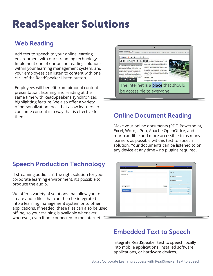## ReadSpeaker Solutions

### Web Reading

Add text to speech to your online learning environment with our streaming technology. Implement one of our online reading solutions within your learning management system, and your employees can listen to content with one click of the ReadSpeaker Listen button.

Employees will benefit from bimodal content presentation: listening and reading at the same time with ReadSpeaker's synchronized highlighting feature. We also offer a variety of personalization tools that allow learners to consume content in a way that is effective for them. **Constant Content and May and Is encerate for Concern Document Reading** 



Make your online documents (PDF, Powerpoint, Excel, Word, ePub, Apache OpenOffice, and more) audible and more accessible to as many learners as possible wit this text-to-speech solution. Your documents can be listened to on any device at any time – no plugins required.

### Speech Production Technology

If streaming audio isn't the right solution for your corporate learning environment, it's possible to produce the audio.

We offer a variety of solutions that allow you to create audio files that can then be integrated into a learning management system or to other applications. If needed, these files can also be used offline, so your training is available whenever, wherever, even if not connected to the Internet.

| speechMaker                 |                                |                      | English = Amy Foxwell = |
|-----------------------------|--------------------------------|----------------------|-------------------------|
| Produce audio Pronunciation | Settings                       |                      |                         |
| Enter some text here        | Voice                          |                      |                         |
|                             | AU English (Jack)              | $\ddot{\circ}$       |                         |
|                             | Audio format<br>MP3 (48 Kblvk) | $\ddot{\phantom{a}}$ |                         |
|                             | Speed                          |                      | 100 %                   |
|                             | Slow <sub>1</sub>              | n                    | Fast.                   |
|                             | Preview<br>Pitch               |                      | 100 %                   |
| Download audio              | Low                            | ш                    | High                    |
|                             | Volume                         | ш                    | 100 %                   |
|                             | Low                            |                      | High.                   |
|                             |                                |                      |                         |

### Embedded Text to Speech

Integrate ReadSpeaker text to speech locally into mobile applications, installed software applications, or hardware devices.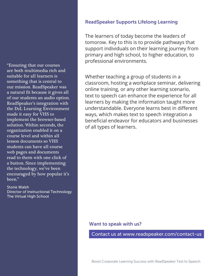"Ensuring that our courses are both multimedia rich and suitable for all learners is something that is central to our mission. ReadSpeaker was a natural fit because it gives all of our students an audio option. ReadSpeaker's integration with the D2L Learning Environment made it easy for VHS to implement the browser-based solution. Within seconds, the organization enabled it on a course level and within all lesson documents so VHS students can have all course web pages and documents read to them with one click of a button. Since implementing the technology, we've been encouraged by how popular it's been."

#### Storie Walsh

Director of Instructional Technology The Virtual High School

#### ReadSpeaker Supports Lifelong Learning

The learners of today become the leaders of tomorow. Key to this is to provide pathways that support individuals on their learning journey from primary and high school, to higher education, to professional environments.

Whether teaching a group of students in a classroom, hosting a workplace seminar, delivering online training, or any other learning scenario, text to speech can enhance the experience for all learners by making the information taught more understandable. Everyone learns best in different ways, which makes text to speech integration a beneficial endeavor for educators and businesses of all types of learners.

#### Want to speak with us?

Contact us at www.readspeaker.com/contact-us